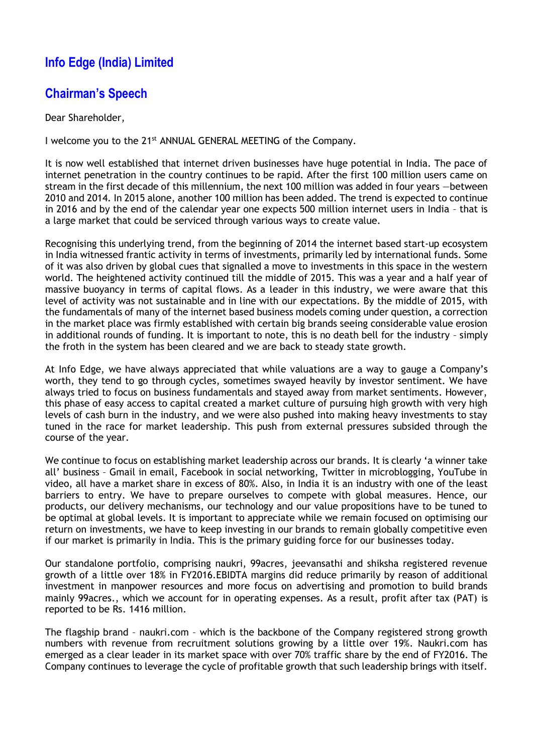## **Info Edge (India) Limited**

## **Chairman's Speech**

Dear Shareholder,

I welcome you to the 21<sup>st</sup> ANNUAL GENERAL MEETING of the Company.

It is now well established that internet driven businesses have huge potential in India. The pace of internet penetration in the country continues to be rapid. After the first 100 million users came on stream in the first decade of this millennium, the next 100 million was added in four years —between 2010 and 2014. In 2015 alone, another 100 million has been added. The trend is expected to continue in 2016 and by the end of the calendar year one expects 500 million internet users in India – that is a large market that could be serviced through various ways to create value.

Recognising this underlying trend, from the beginning of 2014 the internet based start-up ecosystem in India witnessed frantic activity in terms of investments, primarily led by international funds. Some of it was also driven by global cues that signalled a move to investments in this space in the western world. The heightened activity continued till the middle of 2015. This was a year and a half year of massive buoyancy in terms of capital flows. As a leader in this industry, we were aware that this level of activity was not sustainable and in line with our expectations. By the middle of 2015, with the fundamentals of many of the internet based business models coming under question, a correction in the market place was firmly established with certain big brands seeing considerable value erosion in additional rounds of funding. It is important to note, this is no death bell for the industry – simply the froth in the system has been cleared and we are back to steady state growth.

At Info Edge, we have always appreciated that while valuations are a way to gauge a Company's worth, they tend to go through cycles, sometimes swayed heavily by investor sentiment. We have always tried to focus on business fundamentals and stayed away from market sentiments. However, this phase of easy access to capital created a market culture of pursuing high growth with very high levels of cash burn in the industry, and we were also pushed into making heavy investments to stay tuned in the race for market leadership. This push from external pressures subsided through the course of the year.

We continue to focus on establishing market leadership across our brands. It is clearly 'a winner take all' business – Gmail in email, Facebook in social networking, Twitter in microblogging, YouTube in video, all have a market share in excess of 80%. Also, in India it is an industry with one of the least barriers to entry. We have to prepare ourselves to compete with global measures. Hence, our products, our delivery mechanisms, our technology and our value propositions have to be tuned to be optimal at global levels. It is important to appreciate while we remain focused on optimising our return on investments, we have to keep investing in our brands to remain globally competitive even if our market is primarily in India. This is the primary guiding force for our businesses today.

Our standalone portfolio, comprising naukri, 99acres, jeevansathi and shiksha registered revenue growth of a little over 18% in FY2016.EBIDTA margins did reduce primarily by reason of additional investment in manpower resources and more focus on advertising and promotion to build brands mainly 99acres., which we account for in operating expenses. As a result, profit after tax (PAT) is reported to be Rs. 1416 million.

The flagship brand – naukri.com – which is the backbone of the Company registered strong growth numbers with revenue from recruitment solutions growing by a little over 19%. Naukri.com has emerged as a clear leader in its market space with over 70% traffic share by the end of FY2016. The Company continues to leverage the cycle of profitable growth that such leadership brings with itself.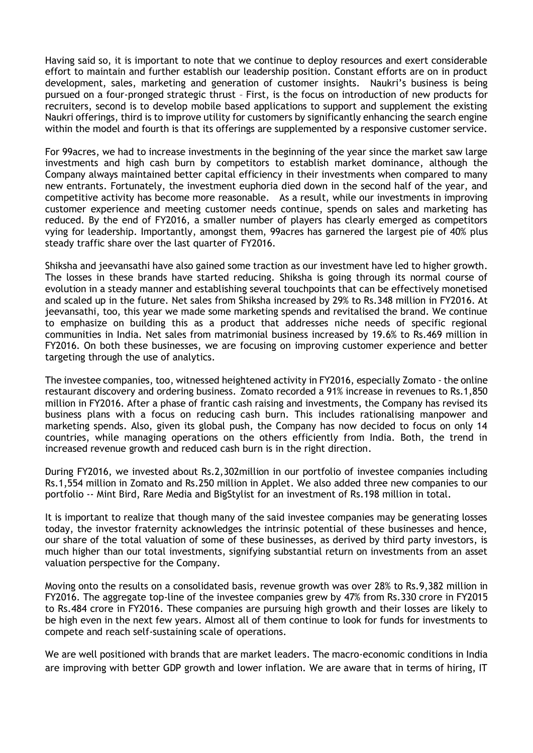Having said so, it is important to note that we continue to deploy resources and exert considerable effort to maintain and further establish our leadership position. Constant efforts are on in product development, sales, marketing and generation of customer insights. Naukri's business is being pursued on a four-pronged strategic thrust – First, is the focus on introduction of new products for recruiters, second is to develop mobile based applications to support and supplement the existing Naukri offerings, third is to improve utility for customers by significantly enhancing the search engine within the model and fourth is that its offerings are supplemented by a responsive customer service.

For 99acres, we had to increase investments in the beginning of the year since the market saw large investments and high cash burn by competitors to establish market dominance, although the Company always maintained better capital efficiency in their investments when compared to many new entrants. Fortunately, the investment euphoria died down in the second half of the year, and competitive activity has become more reasonable. As a result, while our investments in improving customer experience and meeting customer needs continue, spends on sales and marketing has reduced. By the end of FY2016, a smaller number of players has clearly emerged as competitors vying for leadership. Importantly, amongst them, 99acres has garnered the largest pie of 40% plus steady traffic share over the last quarter of FY2016.

Shiksha and jeevansathi have also gained some traction as our investment have led to higher growth. The losses in these brands have started reducing. Shiksha is going through its normal course of evolution in a steady manner and establishing several touchpoints that can be effectively monetised and scaled up in the future. Net sales from Shiksha increased by 29% to Rs.348 million in FY2016. At jeevansathi, too, this year we made some marketing spends and revitalised the brand. We continue to emphasize on building this as a product that addresses niche needs of specific regional communities in India. Net sales from matrimonial business increased by 19.6% to Rs.469 million in FY2016. On both these businesses, we are focusing on improving customer experience and better targeting through the use of analytics.

The investee companies, too, witnessed heightened activity in FY2016, especially Zomato - the online restaurant discovery and ordering business. Zomato recorded a 91% increase in revenues to Rs.1,850 million in FY2016. After a phase of frantic cash raising and investments, the Company has revised its business plans with a focus on reducing cash burn. This includes rationalising manpower and marketing spends. Also, given its global push, the Company has now decided to focus on only 14 countries, while managing operations on the others efficiently from India. Both, the trend in increased revenue growth and reduced cash burn is in the right direction.

During FY2016, we invested about Rs.2,302million in our portfolio of investee companies including Rs.1,554 million in Zomato and Rs.250 million in Applet. We also added three new companies to our portfolio -- Mint Bird, Rare Media and BigStylist for an investment of Rs.198 million in total.

It is important to realize that though many of the said investee companies may be generating losses today, the investor fraternity acknowledges the intrinsic potential of these businesses and hence, our share of the total valuation of some of these businesses, as derived by third party investors, is much higher than our total investments, signifying substantial return on investments from an asset valuation perspective for the Company.

Moving onto the results on a consolidated basis, revenue growth was over 28% to Rs.9,382 million in FY2016. The aggregate top-line of the investee companies grew by 47% from Rs.330 crore in FY2015 to Rs.484 crore in FY2016. These companies are pursuing high growth and their losses are likely to be high even in the next few years. Almost all of them continue to look for funds for investments to compete and reach self-sustaining scale of operations.

We are well positioned with brands that are market leaders. The macro-economic conditions in India are improving with better GDP growth and lower inflation. We are aware that in terms of hiring, IT